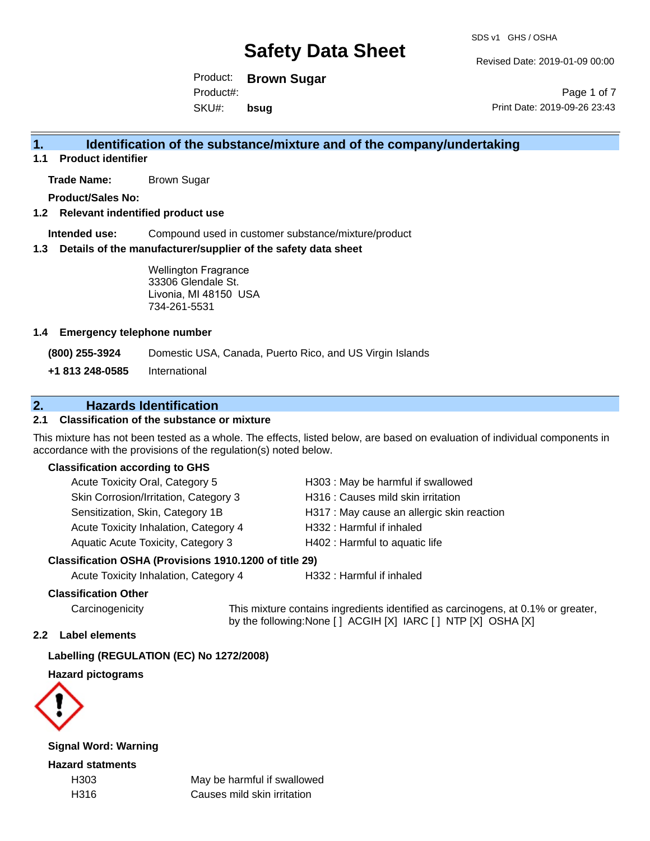Revised Date: 2019-01-09 00:00

Product: **Brown Sugar** SKU#: Product#: **bsug**

Page 1 of 7 Print Date: 2019-09-26 23:43

## **1. Identification of the substance/mixture and of the company/undertaking**

**1.1 Product identifier**

**Trade Name:** Brown Sugar

**Product/Sales No:**

### **1.2 Relevant indentified product use**

**Intended use:** Compound used in customer substance/mixture/product

### **1.3 Details of the manufacturer/supplier of the safety data sheet**

Wellington Fragrance 33306 Glendale St. Livonia, MI 48150 USA 734-261-5531

### **1.4 Emergency telephone number**

**(800) 255-3924** Domestic USA, Canada, Puerto Rico, and US Virgin Islands

**+1 813 248-0585** International

## **2. Hazards Identification**

## **2.1 Classification of the substance or mixture**

This mixture has not been tested as a whole. The effects, listed below, are based on evaluation of individual components in accordance with the provisions of the regulation(s) noted below.

### **Classification according to GHS**

| Acute Toxicity Oral, Category 5       | H303 : May be harmful if swallowed         |
|---------------------------------------|--------------------------------------------|
| Skin Corrosion/Irritation, Category 3 | H316 : Causes mild skin irritation         |
| Sensitization, Skin, Category 1B      | H317 : May cause an allergic skin reaction |
| Acute Toxicity Inhalation, Category 4 | H332: Harmful if inhaled                   |
| Aquatic Acute Toxicity, Category 3    | H402 : Harmful to aquatic life             |
|                                       |                                            |

### **Classification OSHA (Provisions 1910.1200 of title 29)**

Acute Toxicity Inhalation, Category 4 H332 : Harmful if inhaled

#### **Classification Other**

Carcinogenicity This mixture contains ingredients identified as carcinogens, at 0.1% or greater, by the following:None [ ] ACGIH [X] IARC [ ] NTP [X] OSHA [X]

#### **2.2 Label elements**

### **Labelling (REGULATION (EC) No 1272/2008)**

**Hazard pictograms**



**Signal Word: Warning**

**Hazard statments**

H303 May be harmful if swallowed H316 Causes mild skin irritation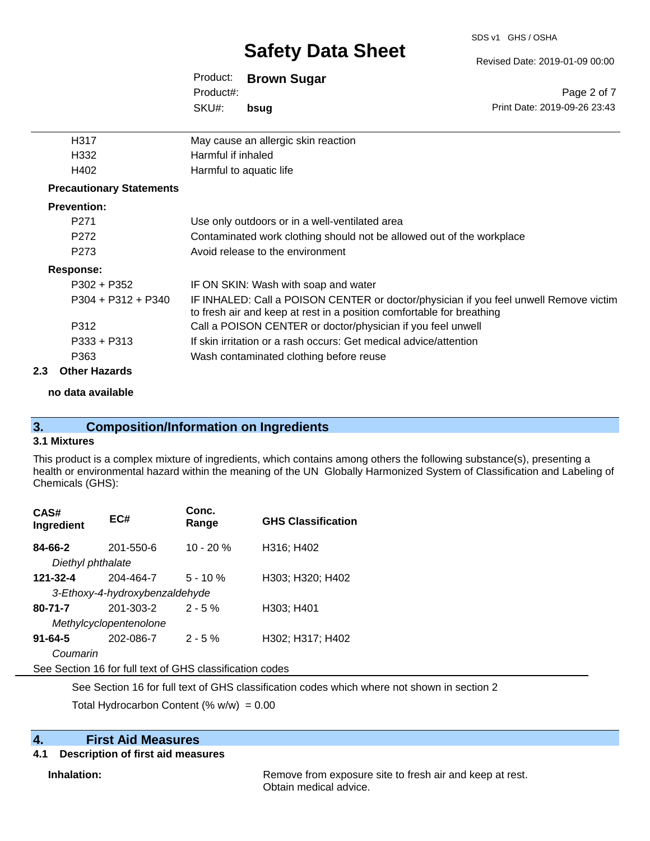Revised Date: 2019-01-09 00:00

Print Date: 2019-09-26 23:43

Page 2 of 7

| Product:  | <b>Brown Sugar</b> |
|-----------|--------------------|
| Product#: |                    |
| SKU#:     | bsuq               |

| H317                            | May cause an allergic skin reaction                                                                                                                            |
|---------------------------------|----------------------------------------------------------------------------------------------------------------------------------------------------------------|
| H332                            | Harmful if inhaled                                                                                                                                             |
| H402                            | Harmful to aquatic life                                                                                                                                        |
| <b>Precautionary Statements</b> |                                                                                                                                                                |
| <b>Prevention:</b>              |                                                                                                                                                                |
| P <sub>271</sub>                | Use only outdoors or in a well-ventilated area                                                                                                                 |
| P272                            | Contaminated work clothing should not be allowed out of the workplace                                                                                          |
| P <sub>273</sub>                | Avoid release to the environment                                                                                                                               |
| Response:                       |                                                                                                                                                                |
| P302 + P352                     | IF ON SKIN: Wash with soap and water                                                                                                                           |
| $P304 + P312 + P340$            | IF INHALED: Call a POISON CENTER or doctor/physician if you feel unwell Remove victim<br>to fresh air and keep at rest in a position comfortable for breathing |
| P312                            | Call a POISON CENTER or doctor/physician if you feel unwell                                                                                                    |
| $P333 + P313$                   | If skin irritation or a rash occurs: Get medical advice/attention                                                                                              |
| P363                            | Wash contaminated clothing before reuse                                                                                                                        |

### **2.3 Other Hazards**

### **no data available**

## **3. Composition/Information on Ingredients**

## **3.1 Mixtures**

This product is a complex mixture of ingredients, which contains among others the following substance(s), presenting a health or environmental hazard within the meaning of the UN Globally Harmonized System of Classification and Labeling of Chemicals (GHS):

| CAS#<br>Ingredient             | EC#       | Conc.<br>Range | <b>GHS Classification</b> |  |  |
|--------------------------------|-----------|----------------|---------------------------|--|--|
| 84-66-2                        | 201-550-6 | $10 - 20 %$    | H316; H402                |  |  |
| Diethyl phthalate              |           |                |                           |  |  |
| 121-32-4                       | 204-464-7 | $5 - 10%$      | H303; H320; H402          |  |  |
| 3-Ethoxy-4-hydroxybenzaldehyde |           |                |                           |  |  |
| $80 - 71 - 7$                  | 201-303-2 | $2 - 5%$       | H303; H401                |  |  |
| Methylcyclopentenolone         |           |                |                           |  |  |
| $91 - 64 - 5$                  | 202-086-7 | $2 - 5\%$      | H302; H317; H402          |  |  |
| Coumarin                       |           |                |                           |  |  |

See Section 16 for full text of GHS classification codes

See Section 16 for full text of GHS classification codes which where not shown in section 2

Total Hydrocarbon Content (%  $w/w$ ) = 0.00

# **4. First Aid Measures**

## **4.1 Description of first aid measures**

**Inhalation:** Remove from exposure site to fresh air and keep at rest. Obtain medical advice.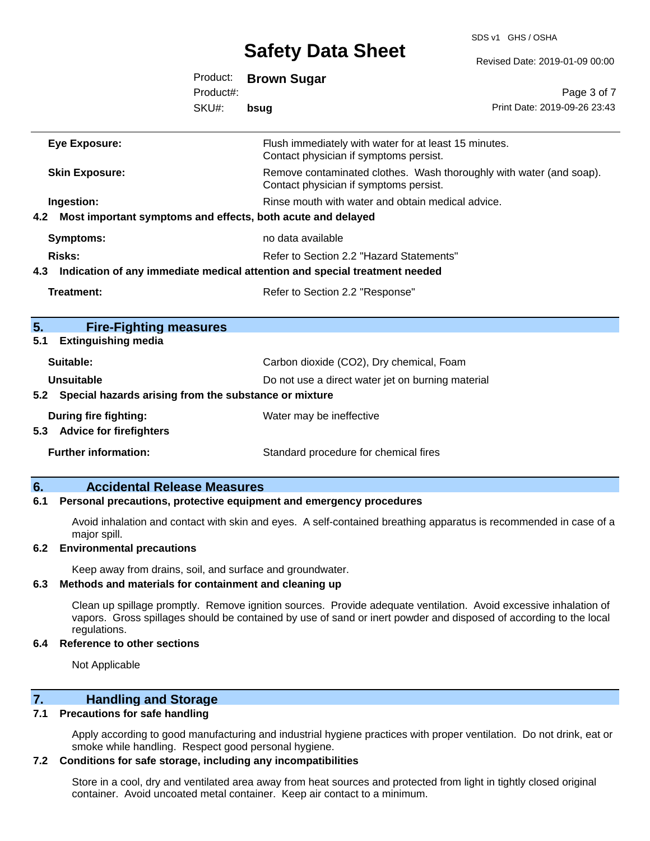SDS v1 GHS / OSHA

|     |                                                                 |           |                                                                                                               | Revised Date: 2019-01-09 00:00 |
|-----|-----------------------------------------------------------------|-----------|---------------------------------------------------------------------------------------------------------------|--------------------------------|
|     |                                                                 | Product:  | <b>Brown Sugar</b>                                                                                            |                                |
|     |                                                                 | Product#: |                                                                                                               | Page 3 of 7                    |
|     |                                                                 | SKU#:     | bsug                                                                                                          | Print Date: 2019-09-26 23:43   |
|     | <b>Eye Exposure:</b>                                            |           | Flush immediately with water for at least 15 minutes.<br>Contact physician if symptoms persist.               |                                |
|     | <b>Skin Exposure:</b>                                           |           | Remove contaminated clothes. Wash thoroughly with water (and soap).<br>Contact physician if symptoms persist. |                                |
|     | Ingestion:                                                      |           | Rinse mouth with water and obtain medical advice.                                                             |                                |
|     | 4.2 Most important symptoms and effects, both acute and delayed |           |                                                                                                               |                                |
|     | <b>Symptoms:</b>                                                |           | no data available                                                                                             |                                |
|     | <b>Risks:</b>                                                   |           | Refer to Section 2.2 "Hazard Statements"                                                                      |                                |
|     |                                                                 |           | 4.3 Indication of any immediate medical attention and special treatment needed                                |                                |
|     | <b>Treatment:</b>                                               |           | Refer to Section 2.2 "Response"                                                                               |                                |
| 5.  | <b>Fire-Fighting measures</b>                                   |           |                                                                                                               |                                |
| 5.1 | <b>Extinguishing media</b>                                      |           |                                                                                                               |                                |
|     | Suitable:                                                       |           | Carbon dioxide (CO2), Dry chemical, Foam                                                                      |                                |
|     | <b>Unsuitable</b>                                               |           | Do not use a direct water jet on burning material                                                             |                                |
|     | 5.2 Special hazards arising from the substance or mixture       |           |                                                                                                               |                                |
|     | <b>During fire fighting:</b><br>5.3 Advice for firefighters     |           | Water may be ineffective                                                                                      |                                |
|     | <b>Further information:</b>                                     |           | Standard procedure for chemical fires                                                                         |                                |
|     |                                                                 |           |                                                                                                               |                                |

### **6. Accidental Release Measures**

#### **6.1 Personal precautions, protective equipment and emergency procedures**

Avoid inhalation and contact with skin and eyes. A self-contained breathing apparatus is recommended in case of a major spill.

#### **6.2 Environmental precautions**

Keep away from drains, soil, and surface and groundwater.

### **6.3 Methods and materials for containment and cleaning up**

Clean up spillage promptly. Remove ignition sources. Provide adequate ventilation. Avoid excessive inhalation of vapors. Gross spillages should be contained by use of sand or inert powder and disposed of according to the local regulations.

#### **6.4 Reference to other sections**

Not Applicable

## **7. Handling and Storage**

#### **7.1 Precautions for safe handling**

Apply according to good manufacturing and industrial hygiene practices with proper ventilation. Do not drink, eat or smoke while handling. Respect good personal hygiene.

### **7.2 Conditions for safe storage, including any incompatibilities**

Store in a cool, dry and ventilated area away from heat sources and protected from light in tightly closed original container. Avoid uncoated metal container. Keep air contact to a minimum.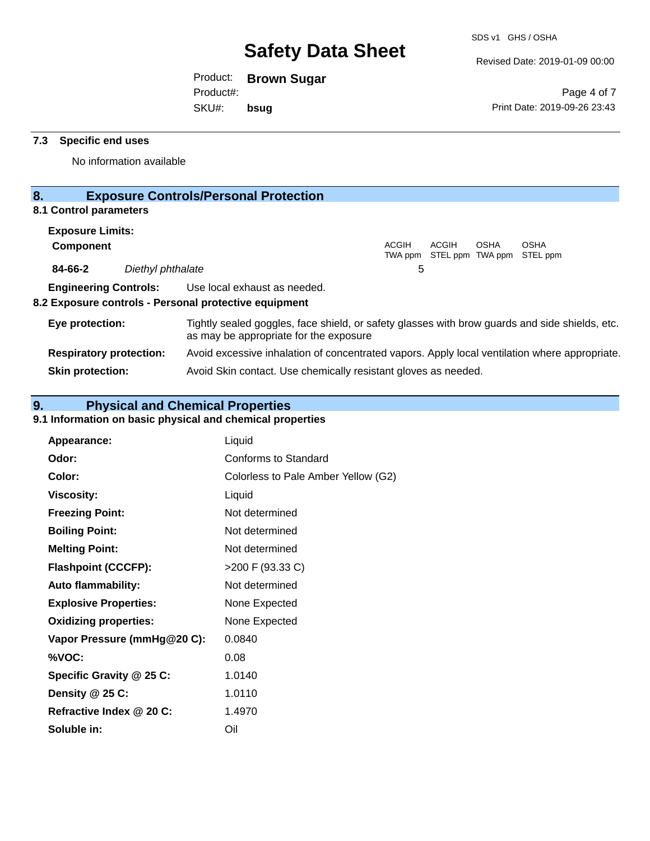Revised Date: 2019-01-09 00:00

Product: **Brown Sugar** Product#:

SKU#: **bsug**

Page 4 of 7 Print Date: 2019-09-26 23:43

### **7.3 Specific end uses**

No information available

## **8. Exposure Controls/Personal Protection**

## **8.1 Control parameters**

| <b>Exposure Limits:</b> |                              |                                                                                                |              |       |             |                                                  |  |
|-------------------------|------------------------------|------------------------------------------------------------------------------------------------|--------------|-------|-------------|--------------------------------------------------|--|
| <b>Component</b>        |                              |                                                                                                | <b>ACGIH</b> | ACGIH | <b>OSHA</b> | <b>OSHA</b><br>TWA ppm STEL ppm TWA ppm STEL ppm |  |
| 84-66-2                 | Diethyl phthalate            |                                                                                                | 5            |       |             |                                                  |  |
|                         | <b>Engineering Controls:</b> | Use local exhaust as needed.<br>8.2 Exposure controls - Personal protective equipment          |              |       |             |                                                  |  |
| Eye protection:         |                              | Tightly sealed goggles, face shield, or safety glasses with brow guards and side shields, etc. |              |       |             |                                                  |  |

as may be appropriate for the exposure **Respiratory protection:** Avoid excessive inhalation of concentrated vapors. Apply local ventilation where appropriate. **Skin protection:** Avoid Skin contact. Use chemically resistant gloves as needed.

## **9. Physical and Chemical Properties**

## **9.1 Information on basic physical and chemical properties**

| Appearance:                  | Liquid                              |
|------------------------------|-------------------------------------|
| Odor:                        | Conforms to Standard                |
| Color:                       | Colorless to Pale Amber Yellow (G2) |
| <b>Viscosity:</b>            | Liquid                              |
| <b>Freezing Point:</b>       | Not determined                      |
| <b>Boiling Point:</b>        | Not determined                      |
| <b>Melting Point:</b>        | Not determined                      |
| <b>Flashpoint (CCCFP):</b>   | >200 F (93.33 C)                    |
| <b>Auto flammability:</b>    | Not determined                      |
| <b>Explosive Properties:</b> | None Expected                       |
| <b>Oxidizing properties:</b> | None Expected                       |
| Vapor Pressure (mmHg@20 C):  | 0.0840                              |
| %VOC:                        | 0.08                                |
| Specific Gravity @ 25 C:     | 1.0140                              |
| Density $@25C$ :             | 1.0110                              |
| Refractive Index @ 20 C:     | 1.4970                              |
| Soluble in:                  | Oil                                 |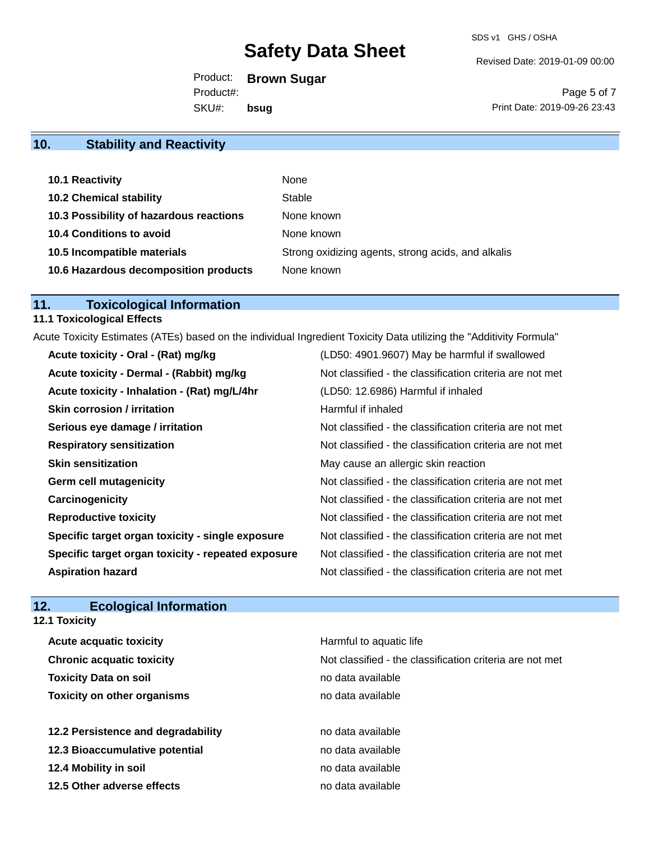Revised Date: 2019-01-09 00:00

Product: **Brown Sugar** SKU#: Product#: **bsug**

Page 5 of 7 Print Date: 2019-09-26 23:43

## **10. Stability and Reactivity**

| <b>10.1 Reactivity</b>                  | None                                               |
|-----------------------------------------|----------------------------------------------------|
| <b>10.2 Chemical stability</b>          | Stable                                             |
| 10.3 Possibility of hazardous reactions | None known                                         |
| 10.4 Conditions to avoid                | None known                                         |
| 10.5 Incompatible materials             | Strong oxidizing agents, strong acids, and alkalis |
| 10.6 Hazardous decomposition products   | None known                                         |

## **11. Toxicological Information**

## **11.1 Toxicological Effects**

Acute Toxicity Estimates (ATEs) based on the individual Ingredient Toxicity Data utilizing the "Additivity Formula"

| Acute toxicity - Oral - (Rat) mg/kg                | (LD50: 4901.9607) May be harmful if swallowed            |
|----------------------------------------------------|----------------------------------------------------------|
| Acute toxicity - Dermal - (Rabbit) mg/kg           | Not classified - the classification criteria are not met |
| Acute toxicity - Inhalation - (Rat) mg/L/4hr       | (LD50: 12.6986) Harmful if inhaled                       |
| <b>Skin corrosion / irritation</b>                 | Harmful if inhaled                                       |
| Serious eye damage / irritation                    | Not classified - the classification criteria are not met |
| <b>Respiratory sensitization</b>                   | Not classified - the classification criteria are not met |
| <b>Skin sensitization</b>                          | May cause an allergic skin reaction                      |
| <b>Germ cell mutagenicity</b>                      | Not classified - the classification criteria are not met |
| Carcinogenicity                                    | Not classified - the classification criteria are not met |
| <b>Reproductive toxicity</b>                       | Not classified - the classification criteria are not met |
| Specific target organ toxicity - single exposure   | Not classified - the classification criteria are not met |
| Specific target organ toxicity - repeated exposure | Not classified - the classification criteria are not met |
| <b>Aspiration hazard</b>                           | Not classified - the classification criteria are not met |

## **12. Ecological Information 12.1 Toxicity**

| <b>Acute acquatic toxicity</b>     | Harmful to aquatic life                                  |
|------------------------------------|----------------------------------------------------------|
| <b>Chronic acquatic toxicity</b>   | Not classified - the classification criteria are not met |
| <b>Toxicity Data on soil</b>       | no data available                                        |
| <b>Toxicity on other organisms</b> | no data available                                        |
| 12.2 Persistence and degradability | no data available                                        |
| 12.3 Bioaccumulative potential     | no data available                                        |
| 12.4 Mobility in soil              | no data available                                        |
| 12.5 Other adverse effects         | no data available                                        |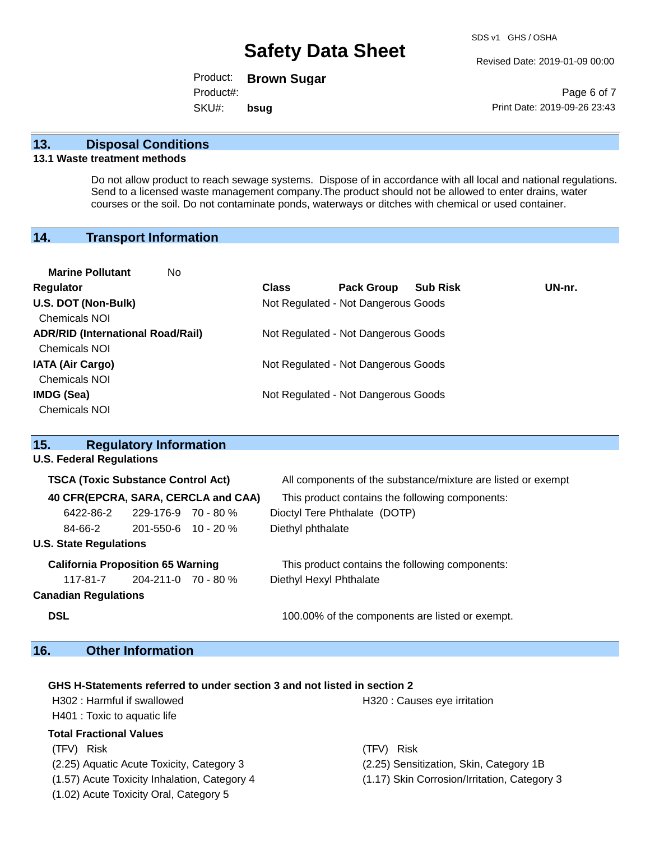Revised Date: 2019-01-09 00:00

Product: **Brown Sugar** SKU#: Product#: **bsug**

Page 6 of 7 Print Date: 2019-09-26 23:43

## **13. Disposal Conditions**

#### **13.1 Waste treatment methods**

Do not allow product to reach sewage systems. Dispose of in accordance with all local and national regulations. Send to a licensed waste management company.The product should not be allowed to enter drains, water courses or the soil. Do not contaminate ponds, waterways or ditches with chemical or used container.

## **14. Transport Information**

| <b>Marine Pollutant</b><br>No.           |              |                                     |                 |        |
|------------------------------------------|--------------|-------------------------------------|-----------------|--------|
| Regulator                                | <b>Class</b> | <b>Pack Group</b>                   | <b>Sub Risk</b> | UN-nr. |
| U.S. DOT (Non-Bulk)                      |              | Not Regulated - Not Dangerous Goods |                 |        |
| <b>Chemicals NOI</b>                     |              |                                     |                 |        |
| <b>ADR/RID (International Road/Rail)</b> |              | Not Regulated - Not Dangerous Goods |                 |        |
| <b>Chemicals NOI</b>                     |              |                                     |                 |        |
| <b>IATA (Air Cargo)</b>                  |              | Not Regulated - Not Dangerous Goods |                 |        |
| <b>Chemicals NOI</b>                     |              |                                     |                 |        |
| <b>IMDG (Sea)</b>                        |              | Not Regulated - Not Dangerous Goods |                 |        |
| <b>Chemicals NOI</b>                     |              |                                     |                 |        |
|                                          |              |                                     |                 |        |

| 15.                                       | <b>Regulatory Information</b>      |                                     |                                                              |
|-------------------------------------------|------------------------------------|-------------------------------------|--------------------------------------------------------------|
| <b>U.S. Federal Regulations</b>           |                                    |                                     |                                                              |
| <b>TSCA (Toxic Substance Control Act)</b> |                                    |                                     | All components of the substance/mixture are listed or exempt |
|                                           |                                    | 40 CFR(EPCRA, SARA, CERCLA and CAA) | This product contains the following components:              |
| 6422-86-2                                 | $229-176-9$ 70 - 80 %              |                                     | Dioctyl Tere Phthalate (DOTP)                                |
| 84-66-2                                   | $201 - 550 - 6$ 10 - 20 %          |                                     | Diethyl phthalate                                            |
| <b>U.S. State Regulations</b>             |                                    |                                     |                                                              |
| <b>California Proposition 65 Warning</b>  |                                    |                                     | This product contains the following components:              |
|                                           | $117 - 81 - 7$ 204-211-0 70 - 80 % |                                     | Diethyl Hexyl Phthalate                                      |
| <b>Canadian Regulations</b>               |                                    |                                     |                                                              |
| <b>DSL</b>                                |                                    |                                     | 100,00% of the components are listed or exempt.              |

## **16. Other Information**

#### **GHS H-Statements referred to under section 3 and not listed in section 2**

| H302: Harmful if swallowed                   | H320 : Causes eye irritation                 |
|----------------------------------------------|----------------------------------------------|
| H401 : Toxic to aquatic life                 |                                              |
| Total Fractional Values                      |                                              |
| (TFV) Risk                                   | <b>Risk</b><br>(TFV).                        |
| (2.25) Aquatic Acute Toxicity, Category 3    | (2.25) Sensitization, Skin, Category 1B      |
| (1.57) Acute Toxicity Inhalation, Category 4 | (1.17) Skin Corrosion/Irritation, Category 3 |
| (1.02) Acute Toxicity Oral, Category 5       |                                              |